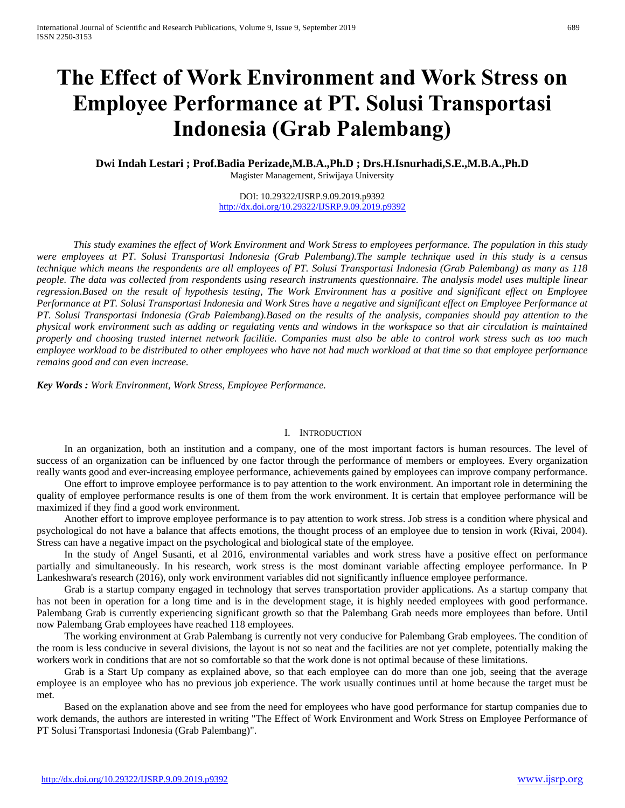# **The Effect of Work Environment and Work Stress on Employee Performance at PT. Solusi Transportasi Indonesia (Grab Palembang)**

**Dwi Indah Lestari ; Prof.Badia Perizade,M.B.A.,Ph.D ; Drs.H.Isnurhadi,S.E.,M.B.A.,Ph.D** Magister Management, Sriwijaya University

> DOI: 10.29322/IJSRP.9.09.2019.p9392 <http://dx.doi.org/10.29322/IJSRP.9.09.2019.p9392>

*This study examines the effect of Work Environment and Work Stress to employees performance. The population in this study were employees at PT. Solusi Transportasi Indonesia (Grab Palembang).The sample technique used in this study is a census technique which means the respondents are all employees of PT. Solusi Transportasi Indonesia (Grab Palembang) as many as 118 people. The data was collected from respondents using research instruments questionnaire. The analysis model uses multiple linear regression.Based on the result of hypothesis testing, The Work Environment has a positive and significant effect on Employee Performance at PT. Solusi Transportasi Indonesia and Work Stres have a negative and significant effect on Employee Performance at PT. Solusi Transportasi Indonesia (Grab Palembang).Based on the results of the analysis, companies should pay attention to the physical work environment such as adding or regulating vents and windows in the workspace so that air circulation is maintained properly and choosing trusted internet network facilitie. Companies must also be able to control work stress such as too much employee workload to be distributed to other employees who have not had much workload at that time so that employee performance remains good and can even increase.*

*Key Words : Work Environment, Work Stress, Employee Performance.*

#### I. INTRODUCTION

In an organization, both an institution and a company, one of the most important factors is human resources. The level of success of an organization can be influenced by one factor through the performance of members or employees. Every organization really wants good and ever-increasing employee performance, achievements gained by employees can improve company performance.

One effort to improve employee performance is to pay attention to the work environment. An important role in determining the quality of employee performance results is one of them from the work environment. It is certain that employee performance will be maximized if they find a good work environment.

Another effort to improve employee performance is to pay attention to work stress. Job stress is a condition where physical and psychological do not have a balance that affects emotions, the thought process of an employee due to tension in work (Rivai, 2004). Stress can have a negative impact on the psychological and biological state of the employee.

In the study of Angel Susanti, et al 2016, environmental variables and work stress have a positive effect on performance partially and simultaneously. In his research, work stress is the most dominant variable affecting employee performance. In P Lankeshwara's research (2016), only work environment variables did not significantly influence employee performance.

Grab is a startup company engaged in technology that serves transportation provider applications. As a startup company that has not been in operation for a long time and is in the development stage, it is highly needed employees with good performance. Palembang Grab is currently experiencing significant growth so that the Palembang Grab needs more employees than before. Until now Palembang Grab employees have reached 118 employees.

The working environment at Grab Palembang is currently not very conducive for Palembang Grab employees. The condition of the room is less conducive in several divisions, the layout is not so neat and the facilities are not yet complete, potentially making the workers work in conditions that are not so comfortable so that the work done is not optimal because of these limitations.

Grab is a Start Up company as explained above, so that each employee can do more than one job, seeing that the average employee is an employee who has no previous job experience. The work usually continues until at home because the target must be met.

Based on the explanation above and see from the need for employees who have good performance for startup companies due to work demands, the authors are interested in writing "The Effect of Work Environment and Work Stress on Employee Performance of PT Solusi Transportasi Indonesia (Grab Palembang)".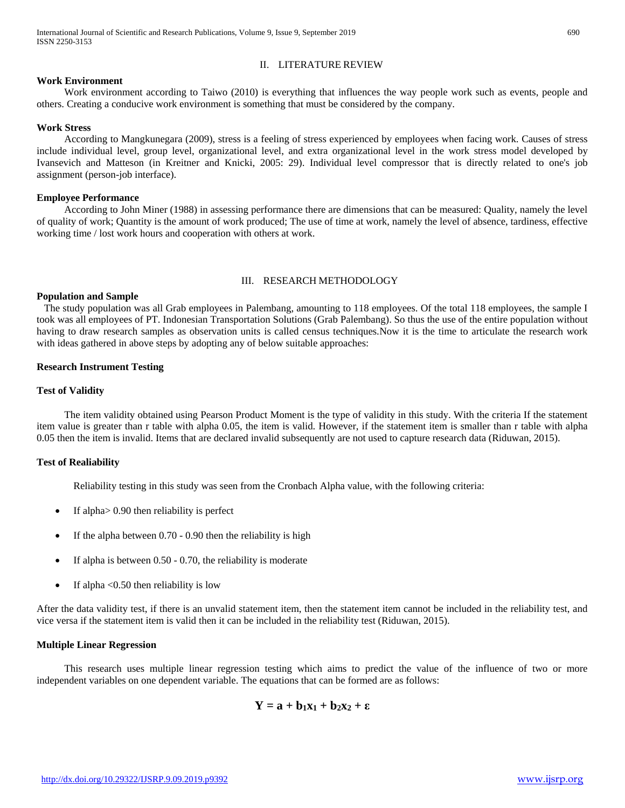# II. LITERATURE REVIEW

#### **Work Environment**

Work environment according to Taiwo (2010) is everything that influences the way people work such as events, people and others. Creating a conducive work environment is something that must be considered by the company.

#### **Work Stress**

According to Mangkunegara (2009), stress is a feeling of stress experienced by employees when facing work. Causes of stress include individual level, group level, organizational level, and extra organizational level in the work stress model developed by Ivansevich and Matteson (in Kreitner and Knicki, 2005: 29). Individual level compressor that is directly related to one's job assignment (person-job interface).

#### **Employee Performance**

According to John Miner (1988) in assessing performance there are dimensions that can be measured: Quality, namely the level of quality of work; Quantity is the amount of work produced; The use of time at work, namely the level of absence, tardiness, effective working time / lost work hours and cooperation with others at work.

# III. RESEARCH METHODOLOGY

#### **Population and Sample**

The study population was all Grab employees in Palembang, amounting to 118 employees. Of the total 118 employees, the sample I took was all employees of PT. Indonesian Transportation Solutions (Grab Palembang). So thus the use of the entire population without having to draw research samples as observation units is called census techniques.Now it is the time to articulate the research work with ideas gathered in above steps by adopting any of below suitable approaches:

#### **Research Instrument Testing**

#### **Test of Validity**

The item validity obtained using Pearson Product Moment is the type of validity in this study. With the criteria If the statement item value is greater than r table with alpha 0.05, the item is valid. However, if the statement item is smaller than r table with alpha 0.05 then the item is invalid. Items that are declared invalid subsequently are not used to capture research data (Riduwan, 2015).

## **Test of Realiability**

Reliability testing in this study was seen from the Cronbach Alpha value, with the following criteria:

- If alpha> 0.90 then reliability is perfect
- If the alpha between 0.70 0.90 then the reliability is high
- If alpha is between 0.50 0.70, the reliability is moderate
- If alpha <0.50 then reliability is low

After the data validity test, if there is an unvalid statement item, then the statement item cannot be included in the reliability test, and vice versa if the statement item is valid then it can be included in the reliability test (Riduwan, 2015).

## **Multiple Linear Regression**

This research uses multiple linear regression testing which aims to predict the value of the influence of two or more independent variables on one dependent variable. The equations that can be formed are as follows:

$$
Y = a + b_1x_1 + b_2x_2 + \epsilon
$$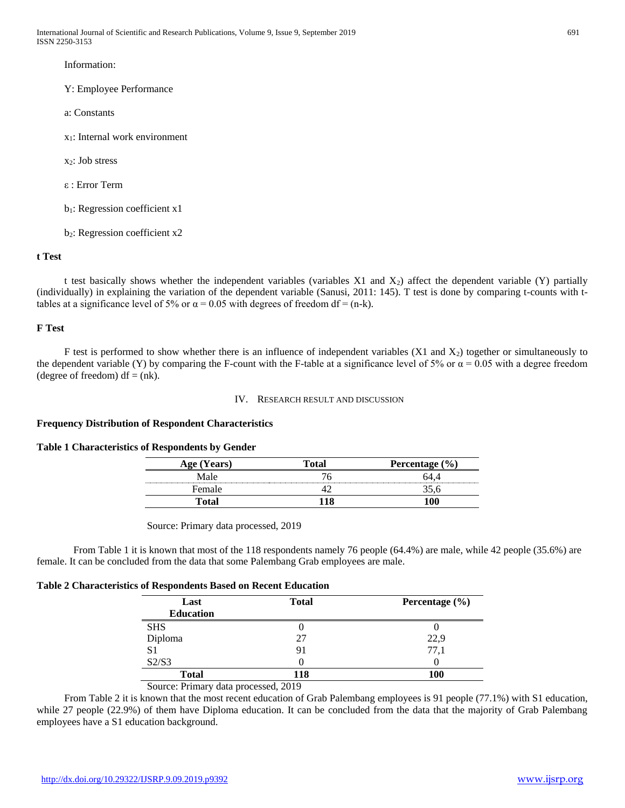Information:

Y: Employee Performance

- a: Constants
- x1: Internal work environment
- $x_2$ : Job stress
- ε : Error Term
- $b_1$ : Regression coefficient x1
- b2: Regression coefficient x2

# **t Test**

t test basically shows whether the independent variables (variables X1 and  $X_2$ ) affect the dependent variable (Y) partially (individually) in explaining the variation of the dependent variable (Sanusi, 2011: 145). T test is done by comparing t-counts with ttables at a significance level of 5% or  $\alpha$  = 0.05 with degrees of freedom df = (n-k).

# **F Test**

F test is performed to show whether there is an influence of independent variables  $(X1 \text{ and } X_2)$  together or simultaneously to the dependent variable (Y) by comparing the F-count with the F-table at a significance level of 5% or  $\alpha = 0.05$  with a degree freedom (degree of freedom)  $df = (nk)$ .

#### IV. RESEARCH RESULT AND DISCUSSION

## **Frequency Distribution of Respondent Characteristics**

## **Table 1 Characteristics of Respondents by Gender**

| Years)<br>Δσρ | <b>Percentage</b> |
|---------------|-------------------|
| 4a le         |                   |
| Female        |                   |
|               |                   |

Source: Primary data processed, 2019

From Table 1 it is known that most of the 118 respondents namely 76 people (64.4%) are male, while 42 people (35.6%) are female. It can be concluded from the data that some Palembang Grab employees are male.

# **Table 2 Characteristics of Respondents Based on Recent Education**

| <b>Total</b> | Percentage $(\% )$ |
|--------------|--------------------|
|              |                    |
|              |                    |
| 27           | 22,9               |
| 91           | 77,1               |
|              |                    |
| 118          | <b>100</b>         |
|              |                    |

Source: Primary data processed, 2019

From Table 2 it is known that the most recent education of Grab Palembang employees is 91 people (77.1%) with S1 education, while 27 people (22.9%) of them have Diploma education. It can be concluded from the data that the majority of Grab Palembang employees have a S1 education background.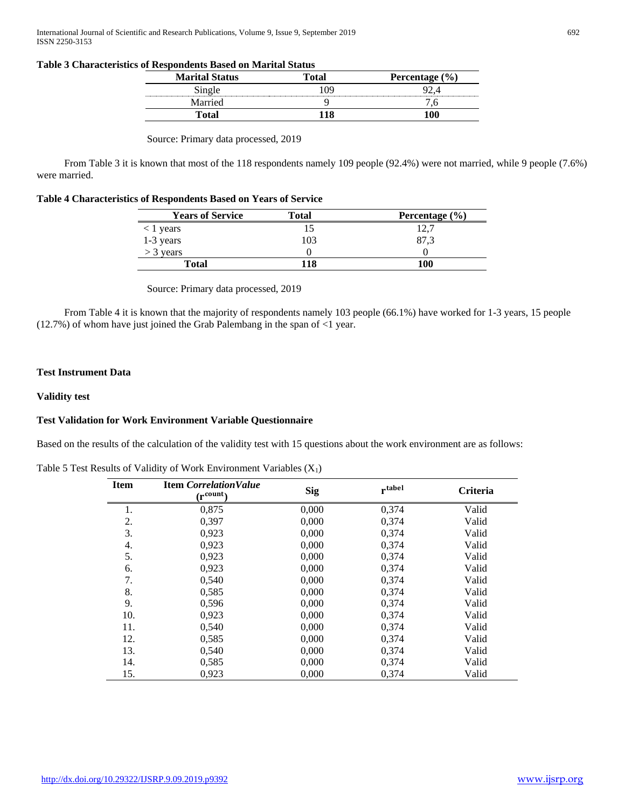# **Table 3 Characteristics of Respondents Based on Marital Status**

| <b>Marital Status</b> | ™otal | Percentage $(\% )$ |
|-----------------------|-------|--------------------|
| Single                | 'NC   |                    |
| Married               |       |                    |
| Total                 |       |                    |

Source: Primary data processed, 2019

From Table 3 it is known that most of the 118 respondents namely 109 people (92.4%) were not married, while 9 people (7.6%) were married.

| Table 4 Characteristics of Respondents Based on Years of Service |  |  |  |  |  |
|------------------------------------------------------------------|--|--|--|--|--|
|------------------------------------------------------------------|--|--|--|--|--|

| <b>Years of Service</b>  | <b>Total</b> | Percentage $(\% )$ |
|--------------------------|--------------|--------------------|
| $\langle$ 1 years        |              |                    |
| $1-3$ years<br>> 3 years | 103          | 87.3               |
|                          |              |                    |
| <b>Total</b>             | 118          | 100                |

Source: Primary data processed, 2019

From Table 4 it is known that the majority of respondents namely 103 people (66.1%) have worked for 1-3 years, 15 people (12.7%) of whom have just joined the Grab Palembang in the span of <1 year.

## **Test Instrument Data**

## **Validity test**

# **Test Validation for Work Environment Variable Questionnaire**

Based on the results of the calculation of the validity test with 15 questions about the work environment are as follows:

| Table 5 Test Results of Validity of Work Environment Variables $(X_1)$ |  |  |  |  |  |
|------------------------------------------------------------------------|--|--|--|--|--|
|------------------------------------------------------------------------|--|--|--|--|--|

| <b>Item</b> | <b>Item Correlation Value</b><br>$(r^{\text{count}})$ | <b>Sig</b> | rtabel | <b>Criteria</b> |
|-------------|-------------------------------------------------------|------------|--------|-----------------|
| 1.          | 0,875                                                 | 0,000      | 0,374  | Valid           |
| 2.          | 0,397                                                 | 0,000      | 0,374  | Valid           |
| 3.          | 0,923                                                 | 0,000      | 0,374  | Valid           |
| 4.          | 0,923                                                 | 0,000      | 0,374  | Valid           |
| 5.          | 0,923                                                 | 0,000      | 0,374  | Valid           |
| 6.          | 0,923                                                 | 0,000      | 0,374  | Valid           |
| 7.          | 0,540                                                 | 0,000      | 0,374  | Valid           |
| 8.          | 0,585                                                 | 0,000      | 0,374  | Valid           |
| 9.          | 0,596                                                 | 0,000      | 0,374  | Valid           |
| 10.         | 0,923                                                 | 0,000      | 0,374  | Valid           |
| 11.         | 0,540                                                 | 0,000      | 0,374  | Valid           |
| 12.         | 0,585                                                 | 0,000      | 0,374  | Valid           |
| 13.         | 0,540                                                 | 0,000      | 0,374  | Valid           |
| 14.         | 0,585                                                 | 0,000      | 0,374  | Valid           |
| 15.         | 0,923                                                 | 0,000      | 0,374  | Valid           |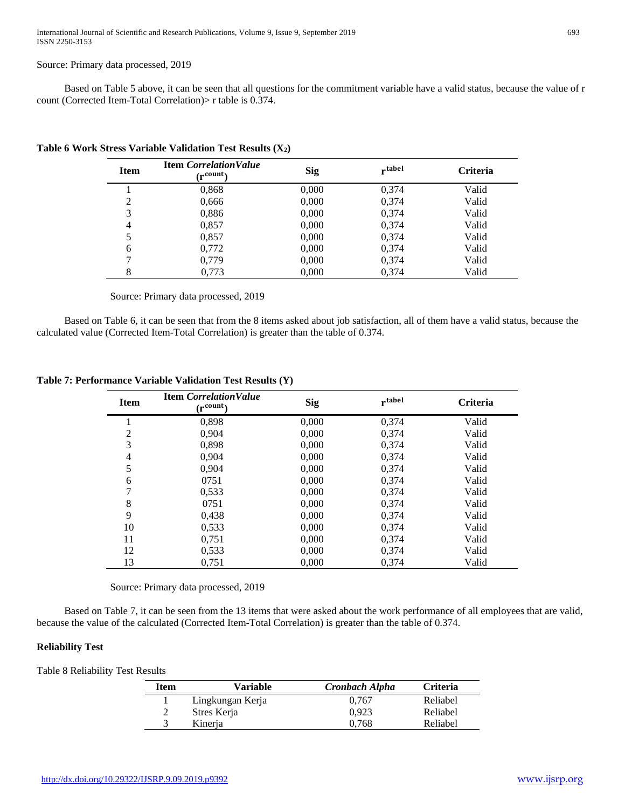#### Source: Primary data processed, 2019

Based on Table 5 above, it can be seen that all questions for the commitment variable have a valid status, because the value of r count (Corrected Item-Total Correlation)> r table is 0.374.

| <b>Item</b> | <b>Item Correlation Value</b><br>∩ncount∩ | <b>Sig</b> | rtabel | <b>Criteria</b> |
|-------------|-------------------------------------------|------------|--------|-----------------|
|             | 0,868                                     | 0,000      | 0,374  | Valid           |
| 2           | 0,666                                     | 0,000      | 0,374  | Valid           |
| 3           | 0,886                                     | 0,000      | 0,374  | Valid           |
| 4           | 0,857                                     | 0,000      | 0,374  | Valid           |
|             | 0,857                                     | 0,000      | 0,374  | Valid           |
| 6           | 0,772                                     | 0,000      | 0,374  | Valid           |
|             | 0,779                                     | 0,000      | 0,374  | Valid           |
| 8           | 0,773                                     | 0,000      | 0,374  | Valid           |

**Table 6 Work Stress Variable Validation Test Results (X2)**

Source: Primary data processed, 2019

Based on Table 6, it can be seen that from the 8 items asked about job satisfaction, all of them have a valid status, because the calculated value (Corrected Item-Total Correlation) is greater than the table of 0.374.

| <b>Item</b>    | <b>Item Correlation Value</b><br>$(r^{\text{count}})$ | <b>Sig</b> | rtabel | <b>Criteria</b> |
|----------------|-------------------------------------------------------|------------|--------|-----------------|
|                | 0,898                                                 | 0,000      | 0,374  | Valid           |
| 2              | 0,904                                                 | 0,000      | 0,374  | Valid           |
| 3              | 0,898                                                 | 0,000      | 0,374  | Valid           |
| $\overline{4}$ | 0.904                                                 | 0,000      | 0,374  | Valid           |
| 5              | 0.904                                                 | 0,000      | 0,374  | Valid           |
| 6              | 0751                                                  | 0,000      | 0,374  | Valid           |
| 7              | 0,533                                                 | 0,000      | 0,374  | Valid           |
| 8              | 0751                                                  | 0,000      | 0,374  | Valid           |
| 9              | 0,438                                                 | 0,000      | 0,374  | Valid           |
| 10             | 0,533                                                 | 0,000      | 0,374  | Valid           |
| 11             | 0,751                                                 | 0,000      | 0,374  | Valid           |
| 12             | 0,533                                                 | 0,000      | 0,374  | Valid           |
| 13             | 0,751                                                 | 0,000      | 0.374  | Valid           |

**Table 7: Performance Variable Validation Test Results (Y)**

Source: Primary data processed, 2019

Based on Table 7, it can be seen from the 13 items that were asked about the work performance of all employees that are valid, because the value of the calculated (Corrected Item-Total Correlation) is greater than the table of 0.374.

## **Reliability Test**

Table 8 Reliability Test Results

| Item          | Variable         | Cronbach Alpha | <b>Criteria</b> |
|---------------|------------------|----------------|-----------------|
|               | Lingkungan Kerja | 0.767          | Reliabel        |
| $\mathcal{D}$ | Stres Kerja      | 0.923          | Reliabel        |
|               | Kinerja          | 0.768          | Reliabel        |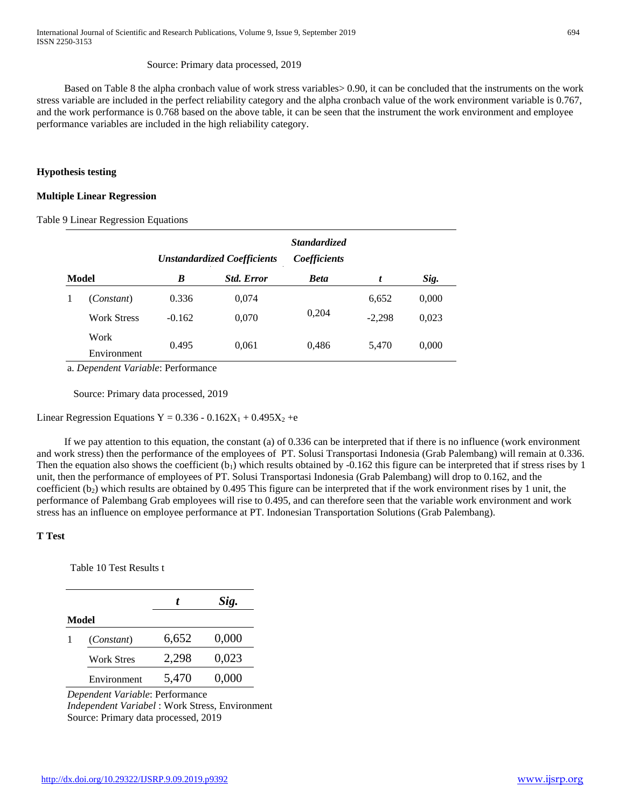## Source: Primary data processed, 2019

Based on Table 8 the alpha cronbach value of work stress variables> 0.90, it can be concluded that the instruments on the work stress variable are included in the perfect reliability category and the alpha cronbach value of the work environment variable is 0.767, and the work performance is 0.768 based on the above table, it can be seen that the instrument the work environment and employee performance variables are included in the high reliability category.

#### **Hypothesis testing**

#### **Multiple Linear Regression**

Table 9 Linear Regression Equations

|   |                    | <b>Standardized</b><br>Coefficients<br><b>Unstandardized Coefficients</b> |                   |             |          |       |
|---|--------------------|---------------------------------------------------------------------------|-------------------|-------------|----------|-------|
|   | Model              | B                                                                         | <b>Std. Error</b> | <b>Beta</b> | t        | Sig.  |
| 1 | (Constant)         | 0.336                                                                     | 0,074             |             | 6,652    | 0,000 |
|   | <b>Work Stress</b> | $-0.162$                                                                  | 0,070             | 0,204       | $-2,298$ | 0,023 |
|   | Work               | 0.495                                                                     | 0,061             | 0,486       | 5,470    | 0,000 |
|   | Environment        |                                                                           |                   |             |          |       |

a. *Dependent Variable*: Performance

Source: Primary data processed, 2019

Linear Regression Equations Y =  $0.336 - 0.162X_1 + 0.495X_2 + e$ 

If we pay attention to this equation, the constant (a) of 0.336 can be interpreted that if there is no influence (work environment and work stress) then the performance of the employees of PT. Solusi Transportasi Indonesia (Grab Palembang) will remain at 0.336. Then the equation also shows the coefficient  $(b_1)$  which results obtained by  $-0.162$  this figure can be interpreted that if stress rises by 1 unit, then the performance of employees of PT. Solusi Transportasi Indonesia (Grab Palembang) will drop to 0.162, and the coefficient  $(b_2)$  which results are obtained by 0.495 This figure can be interpreted that if the work environment rises by 1 unit, the performance of Palembang Grab employees will rise to 0.495, and can therefore seen that the variable work environment and work stress has an influence on employee performance at PT. Indonesian Transportation Solutions (Grab Palembang).

## **T Test**

Table 10 Test Results t

|                   |       | Sig.  |
|-------------------|-------|-------|
| Model             |       |       |
| (Constant)        | 6,652 | 0,000 |
| <b>Work Stres</b> | 2,298 | 0,023 |
| Environment       | 5,470 | 0,000 |

*Dependent Variable*: Performance *Independent Variabel* : Work Stress, Environment Source: Primary data processed, 2019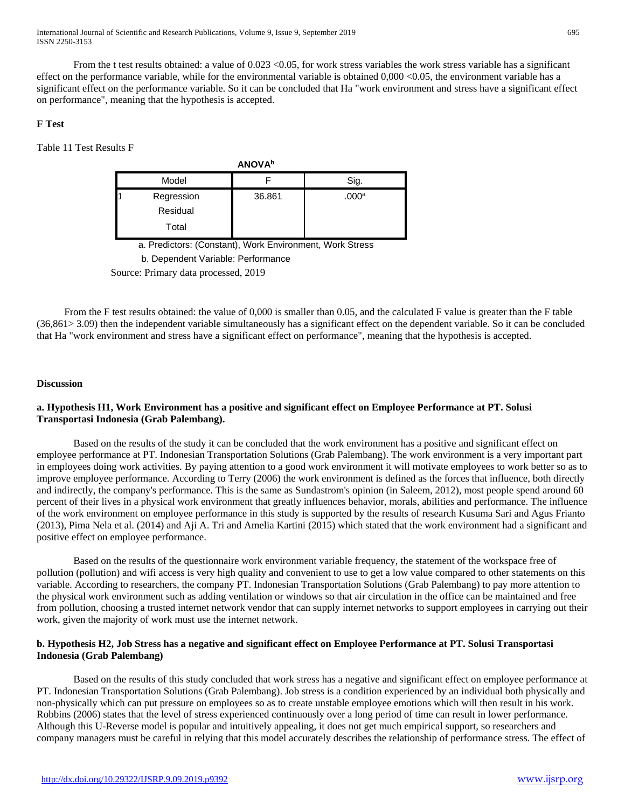From the t test results obtained: a value of 0.023 < 0.05, for work stress variables the work stress variable has a significant effect on the performance variable, while for the environmental variable is obtained 0,000 <0.05, the environment variable has a significant effect on the performance variable. So it can be concluded that Ha "work environment and stress have a significant effect on performance", meaning that the hypothesis is accepted.

# **F Test**

Table 11 Test Results F

| <b>ANOVA</b> <sup>b</sup>       |        |                   |
|---------------------------------|--------|-------------------|
| Model                           |        | Sig.              |
| Regression<br>Residual<br>Total | 36.861 | .000 <sup>a</sup> |

a. Predictors: (Constant), Work Environment, Work Stress b. Dependent Variable: Performance

Source: Primary data processed, 2019

From the F test results obtained: the value of 0,000 is smaller than 0.05, and the calculated F value is greater than the F table (36,861> 3.09) then the independent variable simultaneously has a significant effect on the dependent variable. So it can be concluded that Ha "work environment and stress have a significant effect on performance", meaning that the hypothesis is accepted.

# **Discussion**

# **a. Hypothesis H1, Work Environment has a positive and significant effect on Employee Performance at PT. Solusi Transportasi Indonesia (Grab Palembang).**

Based on the results of the study it can be concluded that the work environment has a positive and significant effect on employee performance at PT. Indonesian Transportation Solutions (Grab Palembang). The work environment is a very important part in employees doing work activities. By paying attention to a good work environment it will motivate employees to work better so as to improve employee performance. According to Terry (2006) the work environment is defined as the forces that influence, both directly and indirectly, the company's performance. This is the same as Sundastrom's opinion (in Saleem, 2012), most people spend around 60 percent of their lives in a physical work environment that greatly influences behavior, morals, abilities and performance. The influence of the work environment on employee performance in this study is supported by the results of research Kusuma Sari and Agus Frianto (2013), Pima Nela et al. (2014) and Aji A. Tri and Amelia Kartini (2015) which stated that the work environment had a significant and positive effect on employee performance.

Based on the results of the questionnaire work environment variable frequency, the statement of the workspace free of pollution (pollution) and wifi access is very high quality and convenient to use to get a low value compared to other statements on this variable. According to researchers, the company PT. Indonesian Transportation Solutions (Grab Palembang) to pay more attention to the physical work environment such as adding ventilation or windows so that air circulation in the office can be maintained and free from pollution, choosing a trusted internet network vendor that can supply internet networks to support employees in carrying out their work, given the majority of work must use the internet network.

# **b. Hypothesis H2, Job Stress has a negative and significant effect on Employee Performance at PT. Solusi Transportasi Indonesia (Grab Palembang)**

Based on the results of this study concluded that work stress has a negative and significant effect on employee performance at PT. Indonesian Transportation Solutions (Grab Palembang). Job stress is a condition experienced by an individual both physically and non-physically which can put pressure on employees so as to create unstable employee emotions which will then result in his work. Robbins (2006) states that the level of stress experienced continuously over a long period of time can result in lower performance. Although this U-Reverse model is popular and intuitively appealing, it does not get much empirical support, so researchers and company managers must be careful in relying that this model accurately describes the relationship of performance stress. The effect of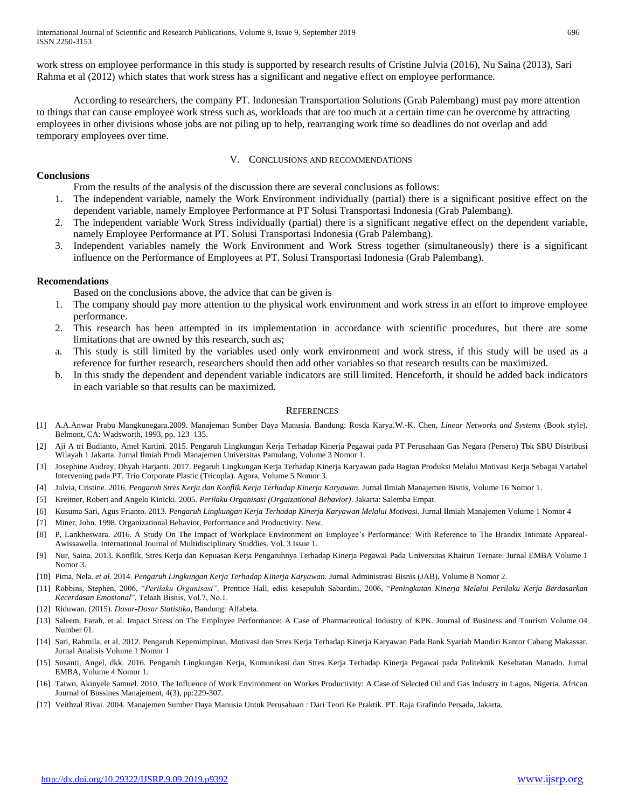work stress on employee performance in this study is supported by research results of Cristine Julvia (2016), Nu Saina (2013), Sari Rahma et al (2012) which states that work stress has a significant and negative effect on employee performance.

According to researchers, the company PT. Indonesian Transportation Solutions (Grab Palembang) must pay more attention to things that can cause employee work stress such as, workloads that are too much at a certain time can be overcome by attracting employees in other divisions whose jobs are not piling up to help, rearranging work time so deadlines do not overlap and add temporary employees over time.

#### V. CONCLUSIONS AND RECOMMENDATIONS

## **Conclusions**

From the results of the analysis of the discussion there are several conclusions as follows:

- 1. The independent variable, namely the Work Environment individually (partial) there is a significant positive effect on the dependent variable, namely Employee Performance at PT Solusi Transportasi Indonesia (Grab Palembang).
- 2. The independent variable Work Stress individually (partial) there is a significant negative effect on the dependent variable, namely Employee Performance at PT. Solusi Transportasi Indonesia (Grab Palembang).
- 3. Independent variables namely the Work Environment and Work Stress together (simultaneously) there is a significant influence on the Performance of Employees at PT. Solusi Transportasi Indonesia (Grab Palembang).

# **Recomendations**

Based on the conclusions above, the advice that can be given is

- 1. The company should pay more attention to the physical work environment and work stress in an effort to improve employee performance.
- 2. This research has been attempted in its implementation in accordance with scientific procedures, but there are some limitations that are owned by this research, such as;
- This study is still limited by the variables used only work environment and work stress, if this study will be used as a reference for further research, researchers should then add other variables so that research results can be maximized.
- b. In this study the dependent and dependent variable indicators are still limited. Henceforth, it should be added back indicators in each variable so that results can be maximized.

## **REFERENCES**

- [1] A.A.Anwar Prabu Mangkunegara.2009. Manajeman Sumber Daya Manusia. Bandung: Rosda Karya.W.-K. Chen, *Linear Networks and Systems* (Book style)*.* Belmont, CA: Wadsworth, 1993, pp. 123–135.
- [2] Aji A tri Budianto, Amel Kartini. 2015. Pengaruh Lingkungan Kerja Terhadap Kinerja Pegawai pada PT Perusahaan Gas Negara (Persero) Tbk SBU Distribusi Wilayah 1 Jakarta. Jurnal Ilmiah Prodi Manajemen Universitas Pamulang, Volume 3 Nomor 1.
- [3] Josephine Audrey, Dhyah Harjanti. 2017. Pegaruh Lingkungan Kerja Terhadap Kinerja Karyawan pada Bagian Produksi Melalui Motivasi Kerja Sebagai Variabel Intervening pada PT. Trio Corporate Plastic (Tricopla). Agora, Volume 5 Nomor 3.
- [4] Julvia, Cristine. 2016. *Pengaruh Stres Kerja dan Konflik Kerja Terhadap Kinerja Karyawan.* Jurnal Ilmiah Manajemen Bisnis, Volume 16 Nomor 1.
- [5] Kreitner, Robert and Angelo Kinicki. 2005. *Perilaku Organisasi (Orgaizational Behavior)*. Jakarta: Salemba Empat.
- [6] Kusuma Sari, Agus Frianto. 2013. *Pengaruh Lingkungan Kerja Terhadap Kinerja Karyawan Melalui Motivasi.* Jurnal Ilmiah Manajemen Volume 1 Nomor 4
- [7] Miner, John. 1998. Organizational Behavior, Performance and Productivity. New.
- [8] P, Lankheswara. 2016. A Study On The Impact of Workplace Environment on Employee's Performance: With Reference to The Brandix Intimate Appareal-Awissawella. International Journal of Multidisciplinary Studdies. Vol. 3 Issue 1.
- [9] Nur, Saina. 2013. Konflik, Stres Kerja dan Kepuasan Kerja Pengaruhnya Terhadap Kinerja Pegawai Pada Universitas Khairun Ternate. Jurnal EMBA Volume 1 Nomor 3.
- [10] Pima, Nela. *et al*. 2014. *Pengaruh Lingkungan Kerja Terhadap Kinerja Karyawan.* Jurnal Administrasi Bisnis (JAB), Volume 8 Nomor 2.
- [11] Robbins, Stephen, 2006, "*Perilaku Organisasi",* Prentice Hall, edisi kesepuluh Sabardini, 2006, "*Peningkatan Kinerja Melalui Perilaku Kerja Berdasarkan Kecerdasan Emosional*", Telaah Bisnis, Vol.7, No.1.
- [12] Riduwan. (2015). *Dasar-Dasar Statistika*, Bandung: Alfabeta.
- [13] Saleem, Farah, et al. Impact Stress on The Employee Performance: A Case of Pharmaceutical Industry of KPK. Journal of Business and Tourism Volume 04 Number 01.
- [14] Sari, Rahmila, et al. 2012. Pengaruh Kepemimpinan, Motivasi dan Stres Kerja Terhadap Kinerja Karyawan Pada Bank Syariah Mandiri Kantor Cabang Makassar. Jurnal Analisis Volume 1 Nomor 1
- [15] Susanti, Angel, dkk. 2016. Pengaruh Lingkungan Kerja, Komunikasi dan Stres Kerja Terhadap Kinerja Pegawai pada Politeknik Kesehatan Manado. Jurnal EMBA, Volume 4 Nomor 1.
- [16] Taiwo, Akinyele Samuel. 2010. The Influence of Work Environment on Workes Productivity: A Case of Selected Oil and Gas Industry in Lagos, Nigeria. African Journal of Bussines Manajement, 4(3), pp:229-307.
- [17] Veithzal Rivai. 2004. Manajemen Sumber Daya Manusia Untuk Perusahaan : Dari Teori Ke Praktik. PT. Raja Grafindo Persada, Jakarta.